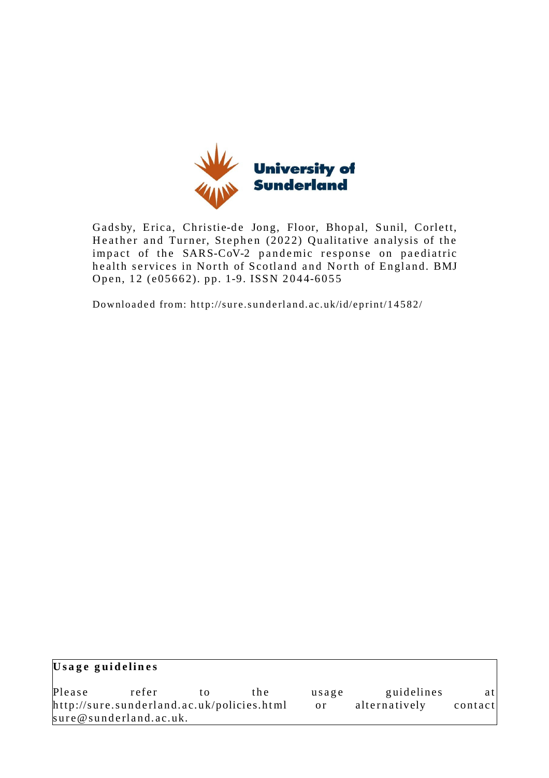

Gadsby, Erica, Christie-de Jong, Floor, Bhopal, Sunil, Corlett, Heather and Turner, Stephen (2022) Qualitative analysis of the impact of the SARS-CoV-2 pandemic response on paediatric health services in North of Scotland and North of England. BMJ Open, 12 (e05662). pp. 1-9. ISSN 2044-6055

Downloaded from: http://sure.sunderland.ac.uk/id/eprint/14582/

| Usage guidelines                           |                        |    |     |               |               |         |  |
|--------------------------------------------|------------------------|----|-----|---------------|---------------|---------|--|
| Please                                     | refer                  | tΩ | the | usage         | guidelines    | atl     |  |
| http://sure.sunderland.ac.uk/policies.html |                        |    |     | <sub>or</sub> | alternatively | contact |  |
|                                            | sure@sunderland.ac.uk. |    |     |               |               |         |  |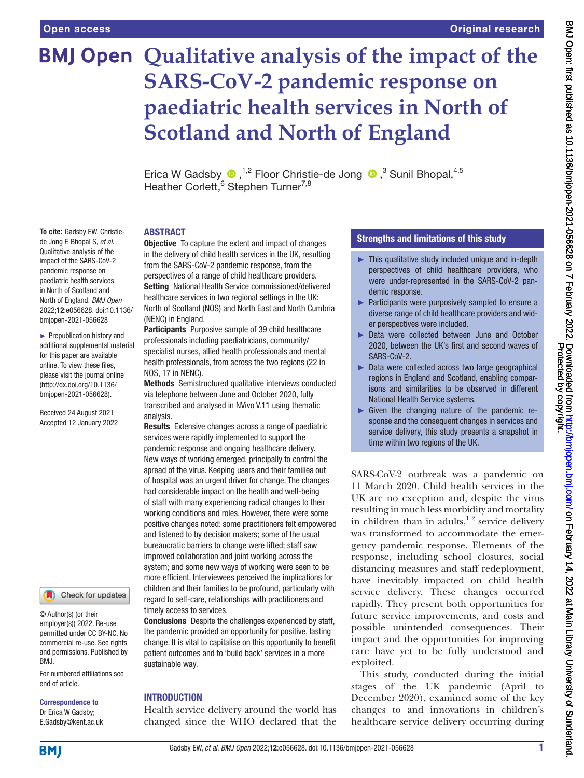**To cite:** Gadsby EW, Christiede Jong F, Bhopal S, *et al*. Qualitative analysis of the impact of the SARS-CoV-2 pandemic response on paediatric health services in North of Scotland and North of England. *BMJ Open* 2022;12:e056628. doi:10.1136/ bmjopen-2021-056628 ► Prepublication history and additional supplemental material for this paper are available online. To view these files, please visit the journal online [\(http://dx.doi.org/10.1136/](http://dx.doi.org/10.1136/bmjopen-2021-056628) [bmjopen-2021-056628](http://dx.doi.org/10.1136/bmjopen-2021-056628)). Received 24 August 2021 Accepted 12 January 2022

# **BMJ Open Qualitative analysis of the impact of the SARS-CoV-2 pandemic response on paediatric health services in North of Scotland and North of England**

EricaW Gadsby  $\bigcirc$ ,<sup>1,2</sup> Floor Christie-de Jong  $\bigcirc$ ,<sup>3</sup> Sunil Bhopal,<sup>4,5</sup> Heather Corlett,<sup>6</sup> Stephen Turner<sup>7,8</sup>

#### ABSTRACT

**Objective** To capture the extent and impact of changes in the delivery of child health services in the UK, resulting from the SARS-CoV-2 pandemic response, from the perspectives of a range of child healthcare providers. Setting National Health Service commissioned/delivered healthcare services in two regional settings in the UK: North of Scotland (NOS) and North East and North Cumbria (NENC) in England.

Participants Purposive sample of 39 child healthcare professionals including paediatricians, community/ specialist nurses, allied health professionals and mental health professionals, from across the two regions (22 in NOS, 17 in NENC).

Methods Semistructured qualitative interviews conducted via telephone between June and October 2020, fully transcribed and analysed in NVivo V.11 using thematic analysis.

Results Extensive changes across a range of paediatric services were rapidly implemented to support the pandemic response and ongoing healthcare delivery. New ways of working emerged, principally to control the spread of the virus. Keeping users and their families out of hospital was an urgent driver for change. The changes had considerable impact on the health and well-being of staff with many experiencing radical changes to their working conditions and roles. However, there were some positive changes noted: some practitioners felt empowered and listened to by decision makers; some of the usual bureaucratic barriers to change were lifted; staff saw improved collaboration and joint working across the system; and some new ways of working were seen to be more efficient. Interviewees perceived the implications for children and their families to be profound, particularly with regard to self-care, relationships with practitioners and timely access to services.

Conclusions Despite the challenges experienced by staff, the pandemic provided an opportunity for positive, lasting change. It is vital to capitalise on this opportunity to benefit patient outcomes and to 'build back' services in a more sustainable way.

#### **INTRODUCTION**

Health service delivery around the world has changed since the WHO declared that the

# Strengths and limitations of this study

- ► This qualitative study included unique and in-depth perspectives of child healthcare providers, who were under-represented in the SARS-CoV-2 pandemic response.
- ► Participants were purposively sampled to ensure a diverse range of child healthcare providers and wider perspectives were included.
- ► Data were collected between June and October 2020, between the UK's first and second waves of SARS-CoV-2.
- ► Data were collected across two large geographical regions in England and Scotland, enabling comparisons and similarities to be observed in different National Health Service systems.
- ► Given the changing nature of the pandemic response and the consequent changes in services and service delivery, this study presents a snapshot in time within two regions of the UK.

SARS-CoV-2 outbreak was a pandemic on 11 March 2020. Child health services in the UK are no exception and, despite the virus resulting in much less morbidity and mortality in children than in adults, $1<sup>2</sup>$  service delivery was transformed to accommodate the emergency pandemic response. Elements of the response, including school closures, social distancing measures and staff redeployment, have inevitably impacted on child health service delivery. These changes occurred rapidly. They present both opportunities for future service improvements, and costs and possible unintended consequences. Their impact and the opportunities for improving care have yet to be fully understood and exploited.

This study, conducted during the initial stages of the UK pandemic (April to December 2020), examined some of the key changes to and innovations in children's healthcare service delivery occurring during

# **BMI**

end of article.

BMJ.

Correspondence to Dr Erica W Gadsby; E.Gadsby@kent.ac.uk

© Author(s) (or their employer(s)) 2022. Re-use permitted under CC BY-NC. No commercial re-use. See rights and permissions. Published by

For numbered affiliations see

Check for updates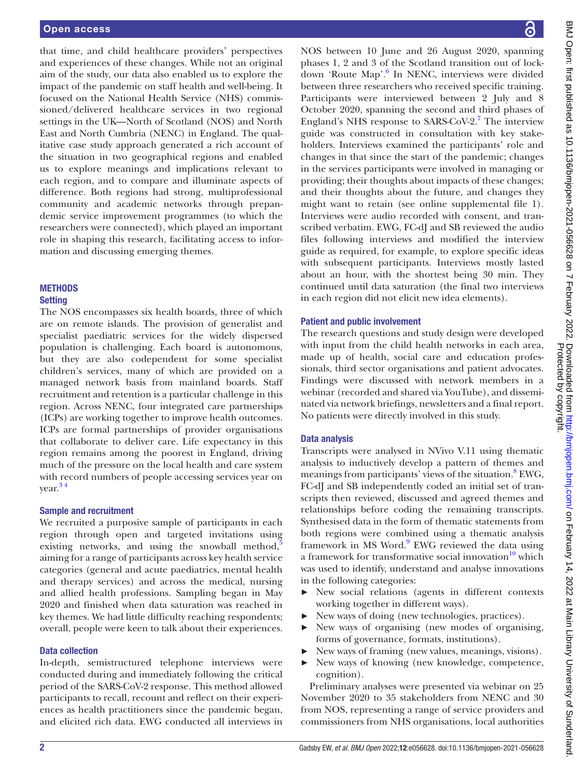that time, and child healthcare providers' perspectives and experiences of these changes. While not an original aim of the study, our data also enabled us to explore the impact of the pandemic on staff health and well-being. It focused on the National Health Service (NHS) commissioned/delivered healthcare services in two regional settings in the UK—North of Scotland (NOS) and North East and North Cumbria (NENC) in England. The qualitative case study approach generated a rich account of the situation in two geographical regions and enabled us to explore meanings and implications relevant to each region, and to compare and illuminate aspects of difference. Both regions had strong, multiprofessional community and academic networks through prepandemic service improvement programmes (to which the researchers were connected), which played an important role in shaping this research, facilitating access to information and discussing emerging themes.

# **METHODS**

#### **Setting**

The NOS encompasses six health boards, three of which are on remote islands. The provision of generalist and specialist paediatric services for the widely dispersed population is challenging. Each board is autonomous, but they are also codependent for some specialist children's services, many of which are provided on a managed network basis from mainland boards. Staff recruitment and retention is a particular challenge in this region. Across NENC, four integrated care partnerships (ICPs) are working together to improve health outcomes. ICPs are formal partnerships of provider organisations that collaborate to deliver care. Life expectancy in this region remains among the poorest in England, driving much of the pressure on the local health and care system with record numbers of people accessing services year on year. [3 4](#page-10-1)

#### Sample and recruitment

We recruited a purposive sample of participants in each region through open and targeted invitations using existing networks, and using the snowball method, $\frac{5}{3}$  $\frac{5}{3}$  $\frac{5}{3}$ aiming for a range of participants across key health service categories (general and acute paediatrics, mental health and therapy services) and across the medical, nursing and allied health professions. Sampling began in May 2020 and finished when data saturation was reached in key themes. We had little difficulty reaching respondents; overall, people were keen to talk about their experiences.

# Data collection

In-depth, semistructured telephone interviews were conducted during and immediately following the critical period of the SARS-CoV-2 response. This method allowed participants to recall, recount and reflect on their experiences as health practitioners since the pandemic began, and elicited rich data. EWG conducted all interviews in

NOS between 10 June and 26 August 2020, spanning phases 1, 2 and 3 of the Scotland transition out of lock-down 'Route Map'.<sup>[6](#page-10-3)</sup> In NENC, interviews were divided between three researchers who received specific training. Participants were interviewed between 2 July and 8 October 2020, spanning the second and third phases of England's NHS response to SARS-CoV-2.<sup>[7](#page-10-4)</sup> The interview guide was constructed in consultation with key stakeholders. Interviews examined the participants' role and changes in that since the start of the pandemic; changes in the services participants were involved in managing or providing; their thoughts about impacts of these changes; and their thoughts about the future, and changes they might want to retain (see [online supplemental file 1\)](https://dx.doi.org/10.1136/bmjopen-2021-056628). Interviews were audio recorded with consent, and transcribed verbatim. EWG, FC-dJ and SB reviewed the audio files following interviews and modified the interview guide as required, for example, to explore specific ideas with subsequent participants. Interviews mostly lasted about an hour, with the shortest being 30 min. They continued until data saturation (the final two interviews in each region did not elicit new idea elements).

#### Patient and public involvement

The research questions and study design were developed with input from the child health networks in each area, made up of health, social care and education professionals, third sector organisations and patient advocates. Findings were discussed with network members in a webinar (recorded and shared via YouTube), and disseminated via network briefings, newsletters and a final report. No patients were directly involved in this study.

# Data analysis

Transcripts were analysed in NVivo V.11 using thematic analysis to inductively develop a pattern of themes and meanings from participants' views of the situation.<sup>[8](#page-10-5)</sup> EWG, FC-dJ and SB independently coded an initial set of transcripts then reviewed, discussed and agreed themes and relationships before coding the remaining transcripts. Synthesised data in the form of thematic statements from both regions were combined using a thematic analysis framework in MS Word.<sup>[9](#page-10-6)</sup> EWG reviewed the data using a framework for transformative social innovation $10$  which was used to identify, understand and analyse innovations in the following categories:

- ► New social relations (agents in different contexts working together in different ways).
- ► New ways of doing (new technologies, practices).
- ► New ways of organising (new modes of organising, forms of governance, formats, institutions).
- ► New ways of framing (new values, meanings, visions).
- ► New ways of knowing (new knowledge, competence, cognition).

Preliminary analyses were presented via webinar on 25 November 2020 to 35 stakeholders from NENC and 30 from NOS, representing a range of service providers and commissioners from NHS organisations, local authorities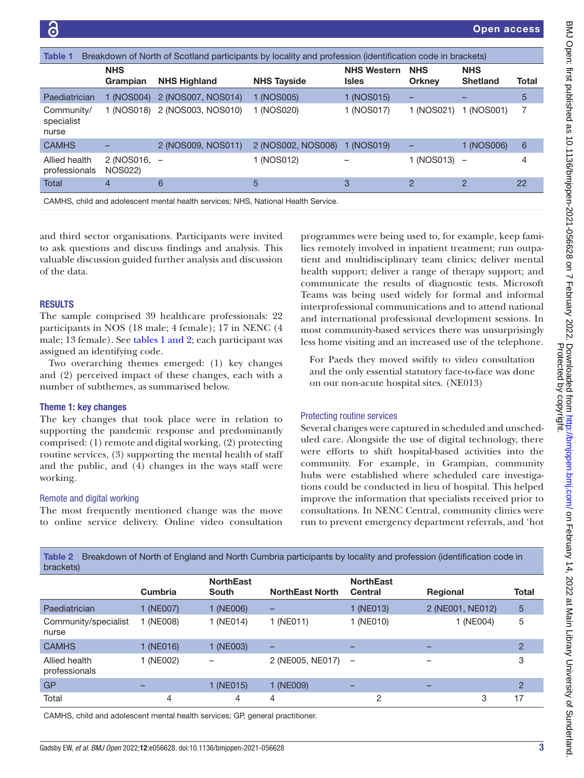Open access

<span id="page-4-0"></span>

| <b>Table 1</b><br>Breakdown of North of Scotland participants by locality and profession (identification code in brackets) |                                    |                     |                    |                                    |                             |                               |                 |  |
|----------------------------------------------------------------------------------------------------------------------------|------------------------------------|---------------------|--------------------|------------------------------------|-----------------------------|-------------------------------|-----------------|--|
|                                                                                                                            | <b>NHS</b><br>Grampian             | <b>NHS Highland</b> | <b>NHS Tayside</b> | <b>NHS Western</b><br><b>Isles</b> | <b>NHS</b><br><b>Orkney</b> | <b>NHS</b><br><b>Shetland</b> | Total           |  |
| Paediatrician                                                                                                              | 1 (NOS004)                         | 2 (NOS007, NOS014)  | 1 (NOS005)         | 1 (NOS015)                         | -                           |                               | $5\overline{)}$ |  |
| Community/<br>specialist<br>nurse                                                                                          | 1 (NOS018)                         | 2 (NOS003, NOS010)  | 1 (NOS020)         | 1 (NOS017)                         | 1 (NOS021)                  | (NOS001)                      | 7               |  |
| <b>CAMHS</b>                                                                                                               |                                    | 2 (NOS009, NOS011)  | 2 (NOS002, NOS008) | (NOS019)                           |                             | 1 (NOS006)                    | 6               |  |
| Allied health<br>professionals                                                                                             | $2$ (NOS016, $-$<br><b>NOS022)</b> |                     | 1 (NOS012)         |                                    | (NOS013)                    | $\overline{\phantom{0}}$      | 4               |  |
| Total                                                                                                                      | 4                                  | 6                   | 5                  | 3                                  | $\mathcal{P}$               | 2                             | 22              |  |

CAMHS, child and adolescent mental health services; NHS, National Health Service.

and third sector organisations. Participants were invited to ask questions and discuss findings and analysis. This valuable discussion guided further analysis and discussion of the data.

#### RESULTS

The sample comprised 39 healthcare professionals: 22 participants in NOS (18 male; 4 female); 17 in NENC (4 male; 13 female). See tables [1 and 2](#page-4-0); each participant was assigned an identifying code.

Two overarching themes emerged: (1) key changes and (2) perceived impact of these changes, each with a number of subthemes, as summarised below.

#### Theme 1: key changes

The key changes that took place were in relation to supporting the pandemic response and predominantly comprised: (1) remote and digital working, (2) protecting routine services, (3) supporting the mental health of staff and the public, and (4) changes in the ways staff were working.

#### Remote and digital working

The most frequently mentioned change was the move to online service delivery. Online video consultation

programmes were being used to, for example, keep families remotely involved in inpatient treatment; run outpatient and multidisciplinary team clinics; deliver mental health support; deliver a range of therapy support; and communicate the results of diagnostic tests. Microsoft Teams was being used widely for formal and informal interprofessional communications and to attend national and international professional development sessions. In most community-based services there was unsurprisingly less home visiting and an increased use of the telephone.

For Paeds they moved swiftly to video consultation and the only essential statutory face-to-face was done on our non-acute hospital sites. (NE013)

#### Protecting routine services

Several changes were captured in scheduled and unscheduled care. Alongside the use of digital technology, there were efforts to shift hospital-based activities into the community. For example, in Grampian, community hubs were established where scheduled care investigations could be conducted in lieu of hospital. This helped improve the information that specialists received prior to consultations. In NENC Central, community clinics were run to prevent emergency department referrals, and 'hot

| brackets)                      |           |                           |                        |                                    |                  |                |
|--------------------------------|-----------|---------------------------|------------------------|------------------------------------|------------------|----------------|
|                                | Cumbria   | <b>NorthEast</b><br>South | <b>NorthEast North</b> | <b>NorthEast</b><br><b>Central</b> | <b>Regional</b>  | <b>Total</b>   |
| Paediatrician                  | 1 (NE007) | 1 (NE006)                 | -                      | 1 (NE013)                          | 2 (NE001, NE012) | 5              |
| Community/specialist<br>nurse  | 1 (NE008) | 1 (NE014)                 | 1 (NE011)              | 1 (NE010)                          | 1 (NE004)        | 5              |
| <b>CAMHS</b>                   | 1 (NE016) | 1 (NE003)                 | -                      | -                                  | -                | $\overline{2}$ |
| Allied health<br>professionals | 1 (NE002) | -                         | 2 (NE005, NE017)       | $\qquad \qquad -$                  | -                | 3              |
| <b>GP</b>                      |           | 1 (NE015)                 | 1 (NE009)              |                                    |                  | $\overline{2}$ |
| Total                          | 4         | 4                         | 4                      | 2                                  | 3                | 17             |
|                                |           |                           |                        |                                    |                  |                |

Table 2 Breakdown of North of England and North Cumbria participants by locality and profession (identification code in

CAMHS, child and adolescent mental health services; GP, general practitioner.

Protected by copyright.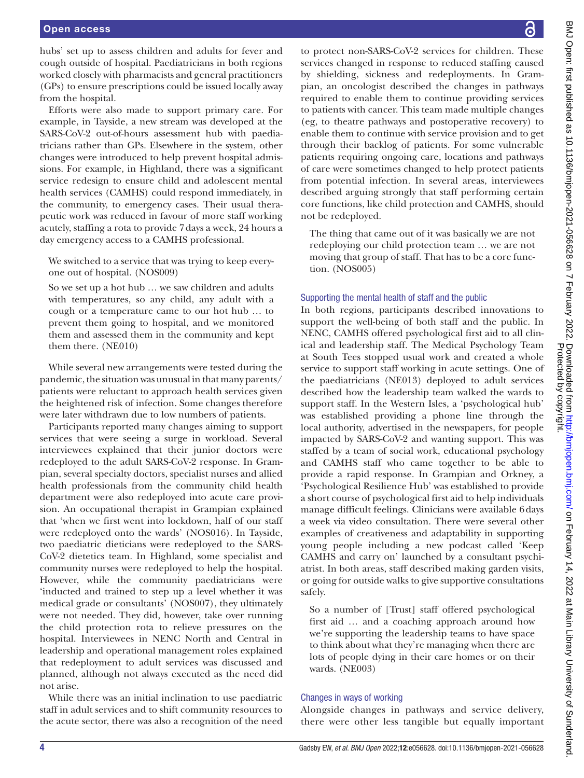hubs' set up to assess children and adults for fever and cough outside of hospital. Paediatricians in both regions worked closely with pharmacists and general practitioners (GPs) to ensure prescriptions could be issued locally away from the hospital.

Efforts were also made to support primary care. For example, in Tayside, a new stream was developed at the SARS-CoV-2 out-of-hours assessment hub with paediatricians rather than GPs. Elsewhere in the system, other changes were introduced to help prevent hospital admissions. For example, in Highland, there was a significant service redesign to ensure child and adolescent mental health services (CAMHS) could respond immediately, in the community, to emergency cases. Their usual therapeutic work was reduced in favour of more staff working acutely, staffing a rota to provide 7days a week, 24 hours a day emergency access to a CAMHS professional.

We switched to a service that was trying to keep everyone out of hospital. (NOS009)

So we set up a hot hub … we saw children and adults with temperatures, so any child, any adult with a cough or a temperature came to our hot hub … to prevent them going to hospital, and we monitored them and assessed them in the community and kept them there. (NE010)

While several new arrangements were tested during the pandemic, the situation was unusual in that many parents/ patients were reluctant to approach health services given the heightened risk of infection. Some changes therefore were later withdrawn due to low numbers of patients.

Participants reported many changes aiming to support services that were seeing a surge in workload. Several interviewees explained that their junior doctors were redeployed to the adult SARS-CoV-2 response. In Grampian, several specialty doctors, specialist nurses and allied health professionals from the community child health department were also redeployed into acute care provision. An occupational therapist in Grampian explained that 'when we first went into lockdown, half of our staff were redeployed onto the wards' (NOS016). In Tayside, two paediatric dieticians were redeployed to the SARS-CoV-2 dietetics team. In Highland, some specialist and community nurses were redeployed to help the hospital. However, while the community paediatricians were 'inducted and trained to step up a level whether it was medical grade or consultants' (NOS007), they ultimately were not needed. They did, however, take over running the child protection rota to relieve pressures on the hospital. Interviewees in NENC North and Central in leadership and operational management roles explained that redeployment to adult services was discussed and planned, although not always executed as the need did not arise.

While there was an initial inclination to use paediatric staff in adult services and to shift community resources to the acute sector, there was also a recognition of the need to protect non-SARS-CoV-2 services for children. These services changed in response to reduced staffing caused by shielding, sickness and redeployments. In Grampian, an oncologist described the changes in pathways required to enable them to continue providing services to patients with cancer. This team made multiple changes (eg, to theatre pathways and postoperative recovery) to enable them to continue with service provision and to get through their backlog of patients. For some vulnerable patients requiring ongoing care, locations and pathways of care were sometimes changed to help protect patients from potential infection. In several areas, interviewees described arguing strongly that staff performing certain core functions, like child protection and CAMHS, should not be redeployed.

The thing that came out of it was basically we are not redeploying our child protection team … we are not moving that group of staff. That has to be a core function. (NOS005)

# Supporting the mental health of staff and the public

In both regions, participants described innovations to support the well-being of both staff and the public. In NENC, CAMHS offered psychological first aid to all clinical and leadership staff. The Medical Psychology Team at South Tees stopped usual work and created a whole service to support staff working in acute settings. One of the paediatricians (NE013) deployed to adult services described how the leadership team walked the wards to support staff. In the Western Isles, a 'psychological hub' was established providing a phone line through the local authority, advertised in the newspapers, for people impacted by SARS-CoV-2 and wanting support. This was staffed by a team of social work, educational psychology and CAMHS staff who came together to be able to provide a rapid response. In Grampian and Orkney, a 'Psychological Resilience Hub' was established to provide a short course of psychological first aid to help individuals manage difficult feelings. Clinicians were available 6days a week via video consultation. There were several other examples of creativeness and adaptability in supporting young people including a new podcast called 'Keep CAMHS and carry on' launched by a consultant psychiatrist. In both areas, staff described making garden visits, or going for outside walks to give supportive consultations safely.

So a number of [Trust] staff offered psychological first aid … and a coaching approach around how we're supporting the leadership teams to have space to think about what they're managing when there are lots of people dying in their care homes or on their wards. (NE003)

# Changes in ways of working

Alongside changes in pathways and service delivery, there were other less tangible but equally important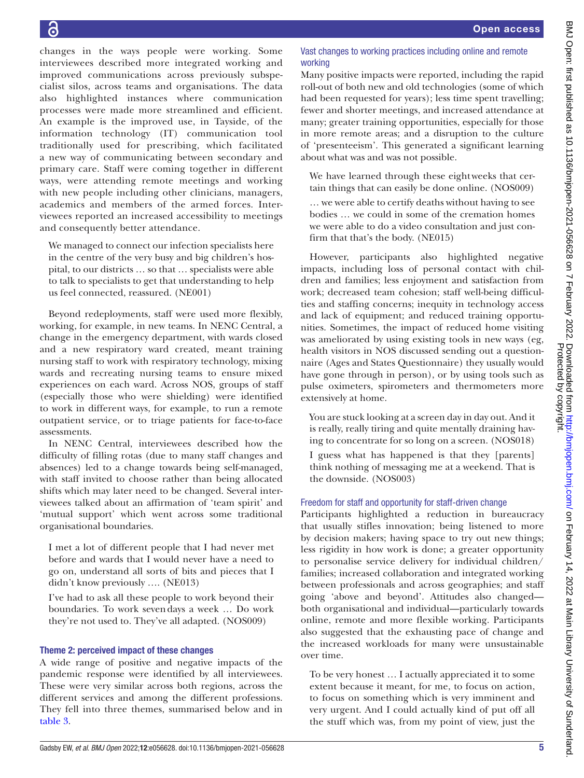changes in the ways people were working. Some interviewees described more integrated working and improved communications across previously subspecialist silos, across teams and organisations. The data also highlighted instances where communication processes were made more streamlined and efficient. An example is the improved use, in Tayside, of the information technology (IT) communication tool traditionally used for prescribing, which facilitated a new way of communicating between secondary and primary care. Staff were coming together in different ways, were attending remote meetings and working with new people including other clinicians, managers, academics and members of the armed forces. Interviewees reported an increased accessibility to meetings and consequently better attendance.

We managed to connect our infection specialists here in the centre of the very busy and big children's hospital, to our districts … so that … specialists were able to talk to specialists to get that understanding to help us feel connected, reassured. (NE001)

Beyond redeployments, staff were used more flexibly, working, for example, in new teams. In NENC Central, a change in the emergency department, with wards closed and a new respiratory ward created, meant training nursing staff to work with respiratory technology, mixing wards and recreating nursing teams to ensure mixed experiences on each ward. Across NOS, groups of staff (especially those who were shielding) were identified to work in different ways, for example, to run a remote outpatient service, or to triage patients for face-to-face assessments.

In NENC Central, interviewees described how the difficulty of filling rotas (due to many staff changes and absences) led to a change towards being self-managed, with staff invited to choose rather than being allocated shifts which may later need to be changed. Several interviewees talked about an affirmation of 'team spirit' and 'mutual support' which went across some traditional organisational boundaries.

I met a lot of different people that I had never met before and wards that I would never have a need to go on, understand all sorts of bits and pieces that I didn't know previously …. (NE013)

I've had to ask all these people to work beyond their boundaries. To work sevendays a week … Do work they're not used to. They've all adapted. (NOS009)

# Theme 2: perceived impact of these changes

A wide range of positive and negative impacts of the pandemic response were identified by all interviewees. These were very similar across both regions, across the different services and among the different professions. They fell into three themes, summarised below and in [table](#page-7-0) 3.

# Vast changes to working practices including online and remote working

Many positive impacts were reported, including the rapid roll-out of both new and old technologies (some of which had been requested for years); less time spent travelling; fewer and shorter meetings, and increased attendance at many; greater training opportunities, especially for those in more remote areas; and a disruption to the culture of 'presenteeism'. This generated a significant learning about what was and was not possible.

We have learned through these eightweeks that certain things that can easily be done online. (NOS009)

… we were able to certify deaths without having to see bodies … we could in some of the cremation homes we were able to do a video consultation and just confirm that that's the body. (NE015)

However, participants also highlighted negative impacts, including loss of personal contact with children and families; less enjoyment and satisfaction from work; decreased team cohesion; staff well-being difficulties and staffing concerns; inequity in technology access and lack of equipment; and reduced training opportunities. Sometimes, the impact of reduced home visiting was ameliorated by using existing tools in new ways (eg, health visitors in NOS discussed sending out a questionnaire (Ages and States Questionnaire) they usually would have gone through in person), or by using tools such as pulse oximeters, spirometers and thermometers more extensively at home.

You are stuck looking at a screen day in day out. And it is really, really tiring and quite mentally draining having to concentrate for so long on a screen. (NOS018)

I guess what has happened is that they [parents] think nothing of messaging me at a weekend. That is the downside. (NOS003)

# Freedom for staff and opportunity for staff-driven change

Participants highlighted a reduction in bureaucracy that usually stifles innovation; being listened to more by decision makers; having space to try out new things; less rigidity in how work is done; a greater opportunity to personalise service delivery for individual children/ families; increased collaboration and integrated working between professionals and across geographies; and staff going 'above and beyond'. Attitudes also changed both organisational and individual—particularly towards online, remote and more flexible working. Participants also suggested that the exhausting pace of change and the increased workloads for many were unsustainable over time.

To be very honest … I actually appreciated it to some extent because it meant, for me, to focus on action, to focus on something which is very imminent and very urgent. And I could actually kind of put off all the stuff which was, from my point of view, just the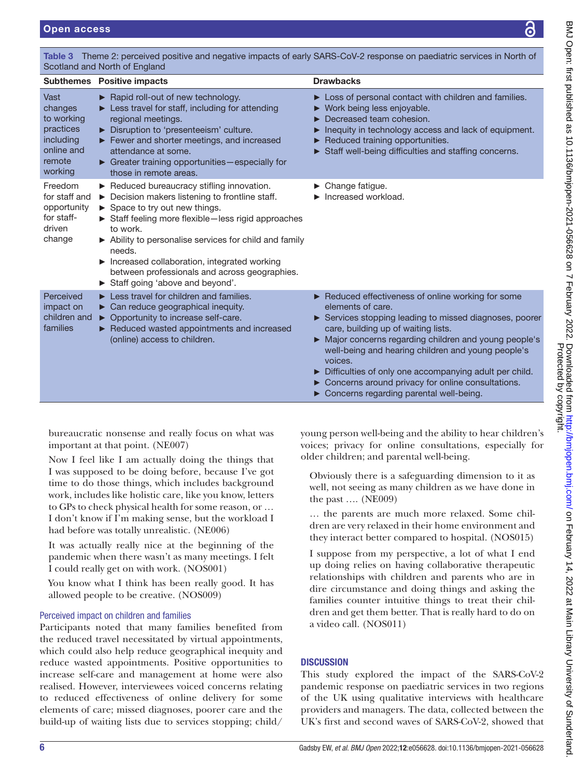<span id="page-7-0"></span>Table 3 Theme 2: perceived positive and negative impacts of early SARS-CoV-2 response on paediatric services in North of Scotland and North of England Subthemes Positive impacts **Drawbacks** Drawbacks Vast changes to working practices including online and remote working ► Rapid roll-out of new technology. ► Less travel for staff, including for attending regional meetings. ► Disruption to 'presenteeism' culture. ► Fewer and shorter meetings, and increased attendance at some. ► Greater training opportunities—especially for those in remote areas. ► Loss of personal contact with children and families. ► Work being less enjoyable. ► Decreased team cohesion. ► Inequity in technology access and lack of equipment. ► Reduced training opportunities. ► Staff well-being difficulties and staffing concerns. Freedom for staff and opportunity for staffdriven change ► Reduced bureaucracy stifling innovation. ► Decision makers listening to frontline staff. ► Space to try out new things. ► Staff feeling more flexible—less rigid approaches to work. ► Ability to personalise services for child and family needs. Increased collaboration, integrated working between professionals and across geographies. ► Staff going 'above and beyond'. ► Change fatigue. ► Increased workload. Perceived impact on children and ► Opportunity to increase self-care. families ► Less travel for children and families. ► Can reduce geographical inequity. ► Reduced wasted appointments and increased (online) access to children. ► Reduced effectiveness of online working for some elements of care. ► Services stopping leading to missed diagnoses, poorer care, building up of waiting lists. ► Major concerns regarding children and young people's well-being and hearing children and young people's voices.

- ► Difficulties of only one accompanying adult per child.
- ► Concerns around privacy for online consultations.
- ► Concerns regarding parental well-being.

bureaucratic nonsense and really focus on what was important at that point. (NE007)

Now I feel like I am actually doing the things that I was supposed to be doing before, because I've got time to do those things, which includes background work, includes like holistic care, like you know, letters to GPs to check physical health for some reason, or … I don't know if I'm making sense, but the workload I had before was totally unrealistic. (NE006)

It was actually really nice at the beginning of the pandemic when there wasn't as many meetings. I felt I could really get on with work. (NOS001)

You know what I think has been really good. It has allowed people to be creative. (NOS009)

# Perceived impact on children and families

Participants noted that many families benefited from the reduced travel necessitated by virtual appointments, which could also help reduce geographical inequity and reduce wasted appointments. Positive opportunities to increase self-care and management at home were also realised. However, interviewees voiced concerns relating to reduced effectiveness of online delivery for some elements of care; missed diagnoses, poorer care and the build-up of waiting lists due to services stopping; child/

young person well-being and the ability to hear children's voices; privacy for online consultations, especially for older children; and parental well-being.

Obviously there is a safeguarding dimension to it as well, not seeing as many children as we have done in the past …. (NE009)

… the parents are much more relaxed. Some children are very relaxed in their home environment and they interact better compared to hospital. (NOS015)

I suppose from my perspective, a lot of what I end up doing relies on having collaborative therapeutic relationships with children and parents who are in dire circumstance and doing things and asking the families counter intuitive things to treat their children and get them better. That is really hard to do on a video call. (NOS011)

# **DISCUSSION**

This study explored the impact of the SARS-CoV-2 pandemic response on paediatric services in two regions of the UK using qualitative interviews with healthcare providers and managers. The data, collected between the UK's first and second waves of SARS-CoV-2, showed that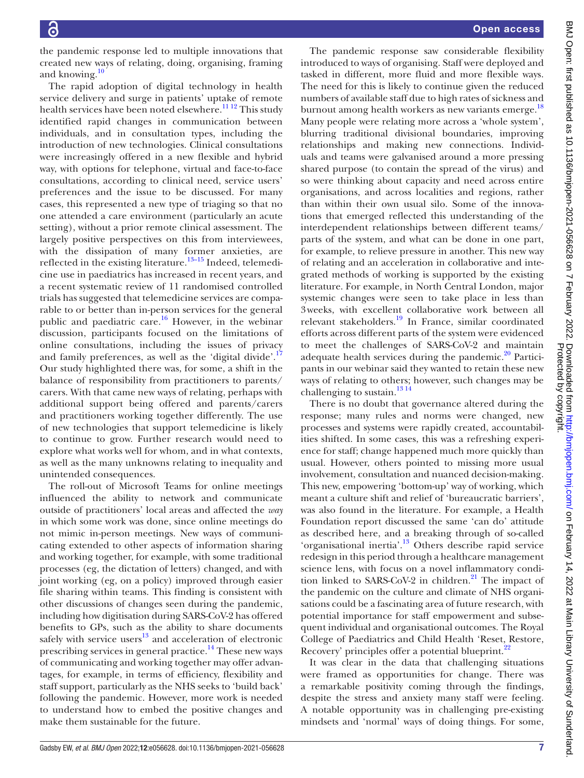the pandemic response led to multiple innovations that created new ways of relating, doing, organising, framing and knowing.<sup>10</sup>

The rapid adoption of digital technology in health service delivery and surge in patients' uptake of remote health services have been noted elsewhere.<sup>[11 12](#page-10-8)</sup> This study identified rapid changes in communication between individuals, and in consultation types, including the introduction of new technologies. Clinical consultations were increasingly offered in a new flexible and hybrid way, with options for telephone, virtual and face-to-face consultations, according to clinical need, service users' preferences and the issue to be discussed. For many cases, this represented a new type of triaging so that no one attended a care environment (particularly an acute setting), without a prior remote clinical assessment. The largely positive perspectives on this from interviewees, with the dissipation of many former anxieties, are reflected in the existing literature.<sup>[13–15](#page-10-9)</sup> Indeed, telemedicine use in paediatrics has increased in recent years, and a recent systematic review of 11 randomised controlled trials has suggested that telemedicine services are comparable to or better than in-person services for the general public and paediatric care.<sup>[16](#page-10-10)</sup> However, in the webinar discussion, participants focused on the limitations of online consultations, including the issues of privacy and family preferences, as well as the 'digital divide'.<sup>[17](#page-10-11)</sup> Our study highlighted there was, for some, a shift in the balance of responsibility from practitioners to parents/ carers. With that came new ways of relating, perhaps with additional support being offered and parents/carers and practitioners working together differently. The use of new technologies that support telemedicine is likely to continue to grow. Further research would need to explore what works well for whom, and in what contexts, as well as the many unknowns relating to inequality and unintended consequences.

The roll-out of Microsoft Teams for online meetings influenced the ability to network and communicate outside of practitioners' local areas and affected the *way* in which some work was done, since online meetings do not mimic in-person meetings. New ways of communicating extended to other aspects of information sharing and working together, for example, with some traditional processes (eg, the dictation of letters) changed, and with joint working (eg, on a policy) improved through easier file sharing within teams. This finding is consistent with other discussions of changes seen during the pandemic, including how digitisation during SARS-CoV-2 has offered benefits to GPs, such as the ability to share documents safely with service users $^{13}$  and acceleration of electronic prescribing services in general practice.<sup>14</sup> These new ways of communicating and working together may offer advantages, for example, in terms of efficiency, flexibility and staff support, particularly as the NHS seeks to 'build back' following the pandemic. However, more work is needed to understand how to embed the positive changes and make them sustainable for the future.

The pandemic response saw considerable flexibility introduced to ways of organising. Staff were deployed and tasked in different, more fluid and more flexible ways. The need for this is likely to continue given the reduced numbers of available staff due to high rates of sickness and burnout among health workers as new variants emerge.<sup>[18](#page-10-13)</sup> Many people were relating more across a 'whole system', blurring traditional divisional boundaries, improving relationships and making new connections. Individuals and teams were galvanised around a more pressing shared purpose (to contain the spread of the virus) and so were thinking about capacity and need across entire organisations, and across localities and regions, rather than within their own usual silo. Some of the innovations that emerged reflected this understanding of the interdependent relationships between different teams/ parts of the system, and what can be done in one part, for example, to relieve pressure in another. This new way of relating and an acceleration in collaborative and integrated methods of working is supported by the existing literature. For example, in North Central London, major systemic changes were seen to take place in less than 3weeks, with excellent collaborative work between all relevant stakeholders.[19](#page-10-14) In France, similar coordinated efforts across different parts of the system were evidenced to meet the challenges of SARS-CoV-2 and maintain adequate health services during the pandemic. $20$  Participants in our webinar said they wanted to retain these new ways of relating to others; however, such changes may be challenging to sustain.<sup>13 14</sup>

There is no doubt that governance altered during the response; many rules and norms were changed, new processes and systems were rapidly created, accountabilities shifted. In some cases, this was a refreshing experience for staff; change happened much more quickly than usual. However, others pointed to missing more usual involvement, consultation and nuanced decision-making. This new, empowering 'bottom-up' way of working, which meant a culture shift and relief of 'bureaucratic barriers', was also found in the literature. For example, a Health Foundation report discussed the same 'can do' attitude as described here, and a breaking through of so-called 'organisational inertia'.[13](#page-10-9) Others describe rapid service redesign in this period through a healthcare management science lens, with focus on a novel inflammatory condition linked to SARS-CoV-2 in children. $^{21}$  $^{21}$  $^{21}$  The impact of the pandemic on the culture and climate of NHS organisations could be a fascinating area of future research, with potential importance for staff empowerment and subsequent individual and organisational outcomes. The Royal College of Paediatrics and Child Health 'Reset, Restore, Recovery' principles offer a potential blueprint.<sup>22</sup>

It was clear in the data that challenging situations were framed as opportunities for change. There was a remarkable positivity coming through the findings, despite the stress and anxiety many staff were feeling. A notable opportunity was in challenging pre-existing mindsets and 'normal' ways of doing things. For some,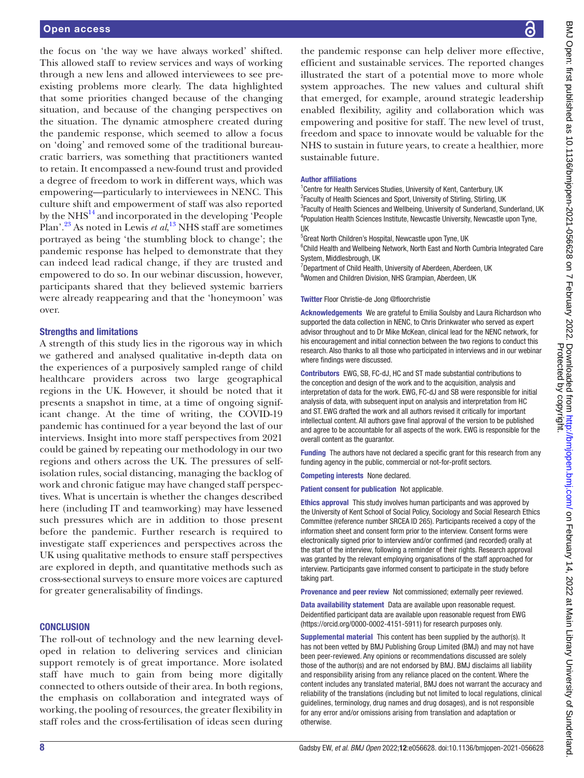the focus on 'the way we have always worked' shifted. This allowed staff to review services and ways of working through a new lens and allowed interviewees to see preexisting problems more clearly. The data highlighted that some priorities changed because of the changing situation, and because of the changing perspectives on the situation. The dynamic atmosphere created during the pandemic response, which seemed to allow a focus on 'doing' and removed some of the traditional bureaucratic barriers, was something that practitioners wanted to retain. It encompassed a new-found trust and provided a degree of freedom to work in different ways, which was empowering—particularly to interviewees in NENC. This culture shift and empowerment of staff was also reported by the  $N<sup>14</sup>$  and incorporated in the developing 'People Plan'[.23](#page-10-18) As noted in Lewis *et al*, [13](#page-10-9) NHS staff are sometimes portrayed as being 'the stumbling block to change'; the pandemic response has helped to demonstrate that they can indeed lead radical change, if they are trusted and empowered to do so. In our webinar discussion, however, participants shared that they believed systemic barriers were already reappearing and that the 'honeymoon' was over.

#### Strengths and limitations

A strength of this study lies in the rigorous way in which we gathered and analysed qualitative in-depth data on the experiences of a purposively sampled range of child healthcare providers across two large geographical regions in the UK. However, it should be noted that it presents a snapshot in time, at a time of ongoing significant change. At the time of writing, the COVID-19 pandemic has continued for a year beyond the last of our interviews. Insight into more staff perspectives from 2021 could be gained by repeating our methodology in our two regions and others across the UK. The pressures of selfisolation rules, social distancing, managing the backlog of work and chronic fatigue may have changed staff perspectives. What is uncertain is whether the changes described here (including IT and teamworking) may have lessened such pressures which are in addition to those present before the pandemic. Further research is required to investigate staff experiences and perspectives across the UK using qualitative methods to ensure staff perspectives are explored in depth, and quantitative methods such as cross-sectional surveys to ensure more voices are captured for greater generalisability of findings.

#### **CONCLUSION**

The roll-out of technology and the new learning developed in relation to delivering services and clinician support remotely is of great importance. More isolated staff have much to gain from being more digitally connected to others outside of their area. In both regions, the emphasis on collaboration and integrated ways of working, the pooling of resources, the greater flexibility in staff roles and the cross-fertilisation of ideas seen during

the pandemic response can help deliver more effective, efficient and sustainable services. The reported changes illustrated the start of a potential move to more whole system approaches. The new values and cultural shift that emerged, for example, around strategic leadership enabled flexibility, agility and collaboration which was empowering and positive for staff. The new level of trust, freedom and space to innovate would be valuable for the NHS to sustain in future years, to create a healthier, more sustainable future.

#### Author affiliations

<sup>1</sup> Centre for Health Services Studies, University of Kent, Canterbury, UK <sup>2</sup> Faculty of Health Sciences and Sport, University of Stirling, Stirling, UK <sup>3</sup> Faculty of Health Sciences and Wellbeing, University of Sunderland, Sunderland, UK 4 Population Health Sciences Institute, Newcastle University, Newcastle upon Tyne, UK

5 Great North Children's Hospital, Newcastle upon Tyne, UK

<sup>6</sup>Child Health and Wellbeing Network, North East and North Cumbria Integrated Care System, Middlesbrough, UK

<sup>7</sup>Department of Child Health, University of Aberdeen, Aberdeen, UK <sup>8</sup>Women and Children Division, NHS Grampian, Aberdeen, UK

#### Twitter Floor Christie-de Jong [@floorchristie](https://twitter.com/floorchristie)

Acknowledgements We are grateful to Emilia Soulsby and Laura Richardson who supported the data collection in NENC, to Chris Drinkwater who served as expert advisor throughout and to Dr Mike McKean, clinical lead for the NENC network, for his encouragement and initial connection between the two regions to conduct this research. Also thanks to all those who participated in interviews and in our webinar where findings were discussed.

Contributors EWG, SB, FC-dJ, HC and ST made substantial contributions to the conception and design of the work and to the acquisition, analysis and interpretation of data for the work. EWG, FC-dJ and SB were responsible for initial analysis of data, with subsequent input on analysis and interpretation from HC and ST. EWG drafted the work and all authors revised it critically for important intellectual content. All authors gave final approval of the version to be published and agree to be accountable for all aspects of the work. EWG is responsible for the overall content as the guarantor.

Funding The authors have not declared a specific grant for this research from any funding agency in the public, commercial or not-for-profit sectors.

Competing interests None declared.

Patient consent for publication Not applicable.

Ethics approval This study involves human participants and was approved by the University of Kent School of Social Policy, Sociology and Social Research Ethics Committee (reference number SRCEA ID 265). Participants received a copy of the information sheet and consent form prior to the interview. Consent forms were electronically signed prior to interview and/or confirmed (and recorded) orally at the start of the interview, following a reminder of their rights. Research approval was granted by the relevant employing organisations of the staff approached for interview. Participants gave informed consent to participate in the study before taking part.

Provenance and peer review Not commissioned; externally peer reviewed.

Data availability statement Data are available upon reasonable request. Deidentified participant data are available upon reasonable request from EWG (<https://orcid.org/0000-0002-4151-5911>) for research purposes only.

Supplemental material This content has been supplied by the author(s). It has not been vetted by BMJ Publishing Group Limited (BMJ) and may not have been peer-reviewed. Any opinions or recommendations discussed are solely those of the author(s) and are not endorsed by BMJ. BMJ disclaims all liability and responsibility arising from any reliance placed on the content. Where the content includes any translated material, BMJ does not warrant the accuracy and reliability of the translations (including but not limited to local regulations, clinical guidelines, terminology, drug names and drug dosages), and is not responsible for any error and/or omissions arising from translation and adaptation or otherwise.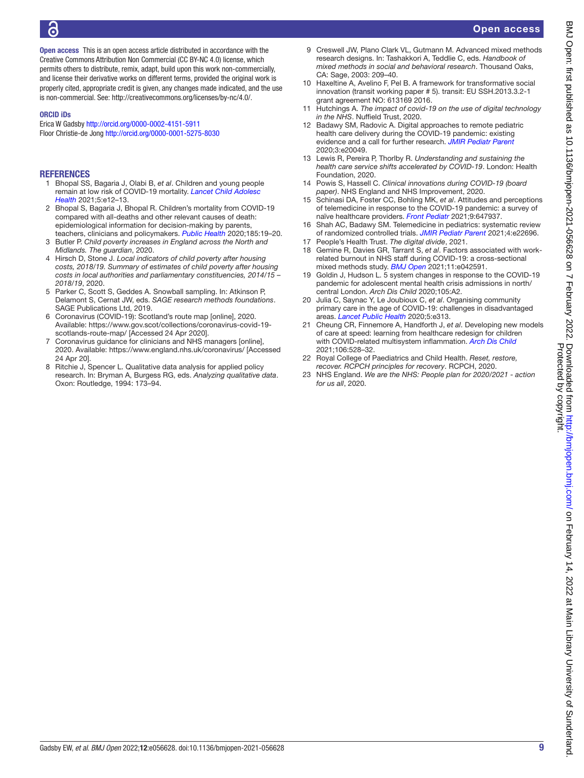Open access

Open access This is an open access article distributed in accordance with the Creative Commons Attribution Non Commercial (CC BY-NC 4.0) license, which permits others to distribute, remix, adapt, build upon this work non-commercially, and license their derivative works on different terms, provided the original work is properly cited, appropriate credit is given, any changes made indicated, and the use is non-commercial. See: [http://creativecommons.org/licenses/by-nc/4.0/.](http://creativecommons.org/licenses/by-nc/4.0/)

#### ORCID iDs

Erica W Gadsby<http://orcid.org/0000-0002-4151-5911> Floor Christie-de Jong <http://orcid.org/0000-0001-5275-8030>

#### **REFERENCES**

- <span id="page-10-0"></span>1 Bhopal SS, Bagaria J, Olabi B, *et al*. Children and young people remain at low risk of COVID-19 mortality. *[Lancet Child Adolesc](http://dx.doi.org/10.1016/S2352-4642(21)00066-3)  [Health](http://dx.doi.org/10.1016/S2352-4642(21)00066-3)* 2021;5:e12–13.
- 2 Bhopal S, Bagaria J, Bhopal R. Children's mortality from COVID-19 compared with all-deaths and other relevant causes of death: epidemiological information for decision-making by parents, teachers, clinicians and policymakers. *[Public Health](http://dx.doi.org/10.1016/j.puhe.2020.05.047)* 2020;185:19–20.
- <span id="page-10-1"></span>3 Butler P. *Child poverty increases in England across the North and Midlands. The guardian*, 2020.
- 4 Hirsch D, Stone J. *Local indicators of child poverty after housing costs, 2018/19. Summary of estimates of child poverty after housing costs in local authorities and parliamentary constituencies, 2014/15 – 2018/19*, 2020.
- <span id="page-10-2"></span>5 Parker C, Scott S, Geddes A. Snowball sampling. In: Atkinson P, Delamont S, Cernat JW, eds. *SAGE research methods foundations*. SAGE Publications Ltd, 2019.
- <span id="page-10-3"></span>6 Coronavirus (COVID-19): Scotland's route map [online], 2020. Available: [https://www.gov.scot/collections/coronavirus-covid-19](https://www.gov.scot/collections/coronavirus-covid-19-scotlands-route-map/) [scotlands-route-map/](https://www.gov.scot/collections/coronavirus-covid-19-scotlands-route-map/) [Accessed 24 Apr 2020].
- <span id="page-10-4"></span>7 Coronavirus guidance for clinicians and NHS managers [online], 2020. Available:<https://www.england.nhs.uk/coronavirus/>[Accessed 24 Apr 20].
- <span id="page-10-5"></span>8 Ritchie J, Spencer L. Qualitative data analysis for applied policy research. In: Bryman A, Burgess RG, eds. *Analyzing qualitative data*. Oxon: Routledge, 1994: 173–94.
- <span id="page-10-6"></span>9 Creswell JW, Plano Clark VL, Gutmann M. Advanced mixed methods research designs. In: Tashakkori A, Teddlie C, eds. *Handbook of mixed methods in social and behavioral research*. Thousand Oaks, CA: Sage, 2003: 209–40.
- <span id="page-10-7"></span>10 Haxeltine A, Avelino F, Pel B. A framework for transformative social innovation (transit working paper # 5). transit: EU SSH.2013.3.2-1 grant agreement NO: 613169 2016.
- <span id="page-10-8"></span>11 Hutchings A. *The impact of covid-19 on the use of digital technology in the NHS*. Nuffield Trust, 2020.
- 12 Badawy SM, Radovic A. Digital approaches to remote pediatric health care delivery during the COVID-19 pandemic: existing evidence and a call for further research. *[JMIR Pediatr Parent](http://dx.doi.org/10.2196/20049)* 2020;3:e20049.
- <span id="page-10-9"></span>13 Lewis R, Pereira P, Thorlby R. *Understanding and sustaining the health care service shifts accelerated by COVID-19*. London: Health Foundation, 2020.
- <span id="page-10-12"></span>14 Powis S, Hassell C. *Clinical innovations during COVID-19 (board paper)*. NHS England and NHS Improvement, 2020.
- 15 Schinasi DA, Foster CC, Bohling MK, *et al*. Attitudes and perceptions of telemedicine in response to the COVID-19 pandemic: a survey of naïve healthcare providers. *[Front Pediatr](http://dx.doi.org/10.3389/fped.2021.647937)* 2021;9:647937.
- <span id="page-10-10"></span>16 Shah AC, Badawy SM. Telemedicine in pediatrics: systematic review of randomized controlled trials. *[JMIR Pediatr Parent](http://dx.doi.org/10.2196/22696)* 2021;4:e22696.
- <span id="page-10-11"></span>17 People's Health Trust. *The digital divide*, 2021.
- <span id="page-10-13"></span>18 Gemine R, Davies GR, Tarrant S, *et al*. Factors associated with workrelated burnout in NHS staff during COVID-19: a cross-sectional mixed methods study. *[BMJ Open](http://dx.doi.org/10.1136/bmjopen-2020-042591)* 2021;11:e042591.
- <span id="page-10-14"></span>19 Goldin J, Hudson L. 5 system changes in response to the COVID-19 pandemic for adolescent mental health crisis admissions in north/ central London. *Arch Dis Child* 2020;105:A2.
- <span id="page-10-15"></span>20 Julia C, Saynac Y, Le Joubioux C, *et al*. Organising community primary care in the age of COVID-19: challenges in disadvantaged areas. *[Lancet Public Health](http://dx.doi.org/10.1016/S2468-2667(20)30115-8)* 2020;5:e313.
- <span id="page-10-16"></span>21 Cheung CR, Finnemore A, Handforth J, *et al*. Developing new models of care at speed: learning from healthcare redesign for children with COVID-related multisystem inflammation. *[Arch Dis Child](http://dx.doi.org/10.1136/archdischild-2020-320358)* 2021;106:528–32.
- <span id="page-10-17"></span>22 Royal College of Paediatrics and Child Health. *Reset, restore, recover. RCPCH principles for recovery*. RCPCH, 2020.
- <span id="page-10-18"></span>23 NHS England. *We are the NHS: People plan for 2020/2021 - action for us all*, 2020.

Protected by copyright.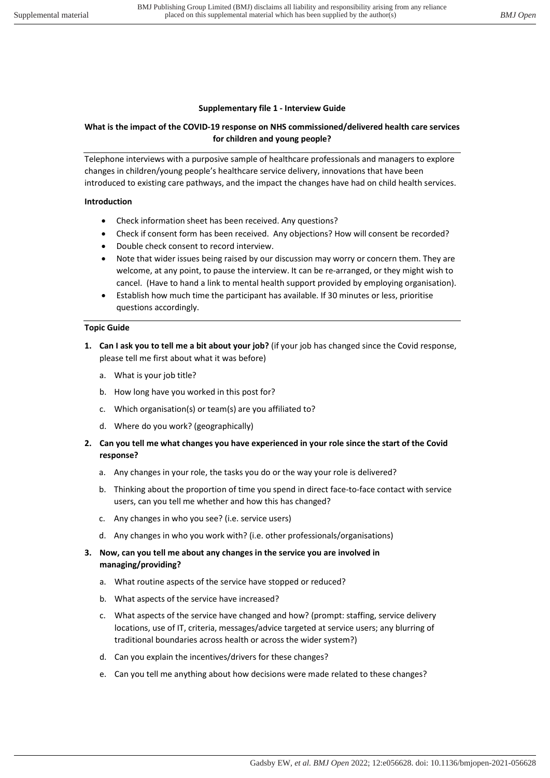#### Supplementary file 1 - Interview Guide

# What is the impact of the COVID-19 response on NHS commissioned/delivered health care services for children and young people?

Telephone interviews with a purposive sample of healthcare professionals and managers to explore changes in children/young people's healthcare service delivery, innovations that have been introduced to existing care pathways, and the impact the changes have had on child health services.

#### Introduction

- Check information sheet has been received. Any questions?
- Check if consent form has been received. Any objections? How will consent be recorded?
- Double check consent to record interview.
- Note that wider issues being raised by our discussion may worry or concern them. They are welcome, at any point, to pause the interview. It can be re-arranged, or they might wish to cancel. (Have to hand a link to mental health support provided by employing organisation).
- Establish how much time the participant has available. If 30 minutes or less, prioritise questions accordingly.

#### Topic Guide

- 1. Can I ask you to tell me a bit about your job? (if your job has changed since the Covid response, please tell me first about what it was before)
	- a. What is your job title?
	- b. How long have you worked in this post for?
	- c. Which organisation(s) or team(s) are you affiliated to?
	- d. Where do you work? (geographically)
- 2. Can you tell me what changes you have experienced in your role since the start of the Covid response?
	- a. Any changes in your role, the tasks you do or the way your role is delivered?
	- b. Thinking about the proportion of time you spend in direct face-to-face contact with service users, can you tell me whether and how this has changed?
	- c. Any changes in who you see? (i.e. service users)
	- d. Any changes in who you work with? (i.e. other professionals/organisations)
- 3. Now, can you tell me about any changes in the service you are involved in managing/providing?
	- a. What routine aspects of the service have stopped or reduced?
	- b. What aspects of the service have increased?
	- c. What aspects of the service have changed and how? (prompt: staffing, service delivery locations, use of IT, criteria, messages/advice targeted at service users; any blurring of traditional boundaries across health or across the wider system?)
	- d. Can you explain the incentives/drivers for these changes?
	- e. Can you tell me anything about how decisions were made related to these changes?